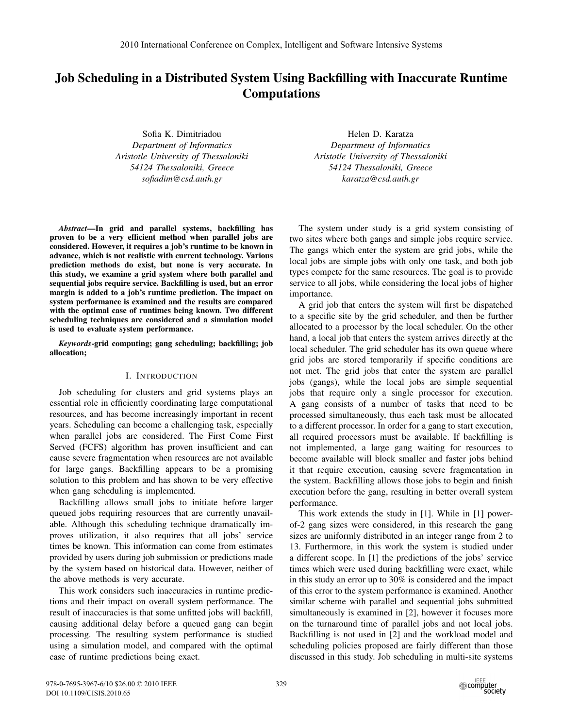# **Job Scheduling in a Distributed System Using Backfilling with Inaccurate Runtime Computations**

Sofia K. Dimitriadou *Department of Informatics Aristotle University of Thessaloniki 54124 Thessaloniki, Greece sofiadim@csd.auth.gr*

*Abstract***—In grid and parallel systems, backfilling has proven to be a very efficient method when parallel jobs are considered. However, it requires a job's runtime to be known in advance, which is not realistic with current technology. Various prediction methods do exist, but none is very accurate. In this study, we examine a grid system where both parallel and sequential jobs require service. Backfilling is used, but an error margin is added to a job's runtime prediction. The impact on system performance is examined and the results are compared with the optimal case of runtimes being known. Two different scheduling techniques are considered and a simulation model is used to evaluate system performance.**

*Keywords***-grid computing; gang scheduling; backfilling; job allocation;**

# I. INTRODUCTION

Job scheduling for clusters and grid systems plays an essential role in efficiently coordinating large computational resources, and has become increasingly important in recent years. Scheduling can become a challenging task, especially when parallel jobs are considered. The First Come First Served (FCFS) algorithm has proven insufficient and can cause severe fragmentation when resources are not available for large gangs. Backfilling appears to be a promising solution to this problem and has shown to be very effective when gang scheduling is implemented.

Backfilling allows small jobs to initiate before larger queued jobs requiring resources that are currently unavailable. Although this scheduling technique dramatically improves utilization, it also requires that all jobs' service times be known. This information can come from estimates provided by users during job submission or predictions made by the system based on historical data. However, neither of the above methods is very accurate.

This work considers such inaccuracies in runtime predictions and their impact on overall system performance. The result of inaccuracies is that some unfitted jobs will backfill, causing additional delay before a queued gang can begin processing. The resulting system performance is studied using a simulation model, and compared with the optimal case of runtime predictions being exact.

Helen D. Karatza *Department of Informatics Aristotle University of Thessaloniki 54124 Thessaloniki, Greece karatza@csd.auth.gr*

The system under study is a grid system consisting of two sites where both gangs and simple jobs require service. The gangs which enter the system are grid jobs, while the local jobs are simple jobs with only one task, and both job types compete for the same resources. The goal is to provide service to all jobs, while considering the local jobs of higher importance.

A grid job that enters the system will first be dispatched to a specific site by the grid scheduler, and then be further allocated to a processor by the local scheduler. On the other hand, a local job that enters the system arrives directly at the local scheduler. The grid scheduler has its own queue where grid jobs are stored temporarily if specific conditions are not met. The grid jobs that enter the system are parallel jobs (gangs), while the local jobs are simple sequential jobs that require only a single processor for execution. A gang consists of a number of tasks that need to be processed simultaneously, thus each task must be allocated to a different processor. In order for a gang to start execution, all required processors must be available. If backfilling is not implemented, a large gang waiting for resources to become available will block smaller and faster jobs behind it that require execution, causing severe fragmentation in the system. Backfilling allows those jobs to begin and finish execution before the gang, resulting in better overall system performance.

This work extends the study in [1]. While in [1] powerof-2 gang sizes were considered, in this research the gang sizes are uniformly distributed in an integer range from 2 to 13. Furthermore, in this work the system is studied under a different scope. In [1] the predictions of the jobs' service times which were used during backfilling were exact, while in this study an error up to 30% is considered and the impact of this error to the system performance is examined. Another similar scheme with parallel and sequential jobs submitted simultaneously is examined in [2], however it focuses more on the turnaround time of parallel jobs and not local jobs. Backfilling is not used in [2] and the workload model and scheduling policies proposed are fairly different than those discussed in this study. Job scheduling in multi-site systems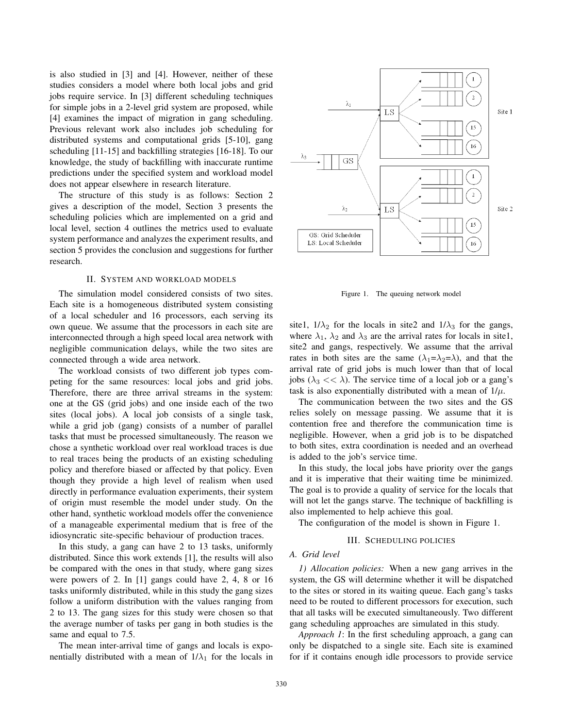is also studied in [3] and [4]. However, neither of these studies considers a model where both local jobs and grid jobs require service. In [3] different scheduling techniques for simple jobs in a 2-level grid system are proposed, while [4] examines the impact of migration in gang scheduling. Previous relevant work also includes job scheduling for distributed systems and computational grids [5-10], gang scheduling [11-15] and backfilling strategies [16-18]. To our knowledge, the study of backfilling with inaccurate runtime predictions under the specified system and workload model does not appear elsewhere in research literature.

The structure of this study is as follows: Section 2 gives a description of the model, Section 3 presents the scheduling policies which are implemented on a grid and local level, section 4 outlines the metrics used to evaluate system performance and analyzes the experiment results, and section 5 provides the conclusion and suggestions for further research.

## II. SYSTEM AND WORKLOAD MODELS

The simulation model considered consists of two sites. Each site is a homogeneous distributed system consisting of a local scheduler and 16 processors, each serving its own queue. We assume that the processors in each site are interconnected through a high speed local area network with negligible communication delays, while the two sites are connected through a wide area network.

The workload consists of two different job types competing for the same resources: local jobs and grid jobs. Therefore, there are three arrival streams in the system: one at the GS (grid jobs) and one inside each of the two sites (local jobs). A local job consists of a single task, while a grid job (gang) consists of a number of parallel tasks that must be processed simultaneously. The reason we chose a synthetic workload over real workload traces is due to real traces being the products of an existing scheduling policy and therefore biased or affected by that policy. Even though they provide a high level of realism when used directly in performance evaluation experiments, their system of origin must resemble the model under study. On the other hand, synthetic workload models offer the convenience of a manageable experimental medium that is free of the idiosyncratic site-specific behaviour of production traces.

In this study, a gang can have 2 to 13 tasks, uniformly distributed. Since this work extends [1], the results will also be compared with the ones in that study, where gang sizes were powers of 2. In [1] gangs could have 2, 4, 8 or 16 tasks uniformly distributed, while in this study the gang sizes follow a uniform distribution with the values ranging from 2 to 13. The gang sizes for this study were chosen so that the average number of tasks per gang in both studies is the same and equal to 7.5.

The mean inter-arrival time of gangs and locals is exponentially distributed with a mean of  $1/\lambda_1$  for the locals in



Figure 1. The queuing network model

site1,  $1/\lambda_2$  for the locals in site2 and  $1/\lambda_3$  for the gangs, where  $\lambda_1$ ,  $\lambda_2$  and  $\lambda_3$  are the arrival rates for locals in site1, site2 and gangs, respectively. We assume that the arrival rates in both sites are the same  $(\lambda_1 = \lambda_2 = \lambda)$ , and that the arrival rate of grid jobs is much lower than that of local jobs ( $\lambda_3 \ll \lambda$ ). The service time of a local job or a gang's task is also exponentially distributed with a mean of  $1/\mu$ .

The communication between the two sites and the GS relies solely on message passing. We assume that it is contention free and therefore the communication time is negligible. However, when a grid job is to be dispatched to both sites, extra coordination is needed and an overhead is added to the job's service time.

In this study, the local jobs have priority over the gangs and it is imperative that their waiting time be minimized. The goal is to provide a quality of service for the locals that will not let the gangs starve. The technique of backfilling is also implemented to help achieve this goal.

The configuration of the model is shown in Figure 1.

## III. SCHEDULING POLICIES

# *A. Grid level*

*1) Allocation policies:* When a new gang arrives in the system, the GS will determine whether it will be dispatched to the sites or stored in its waiting queue. Each gang's tasks need to be routed to different processors for execution, such that all tasks will be executed simultaneously. Two different gang scheduling approaches are simulated in this study.

*Approach 1*: In the first scheduling approach, a gang can only be dispatched to a single site. Each site is examined for if it contains enough idle processors to provide service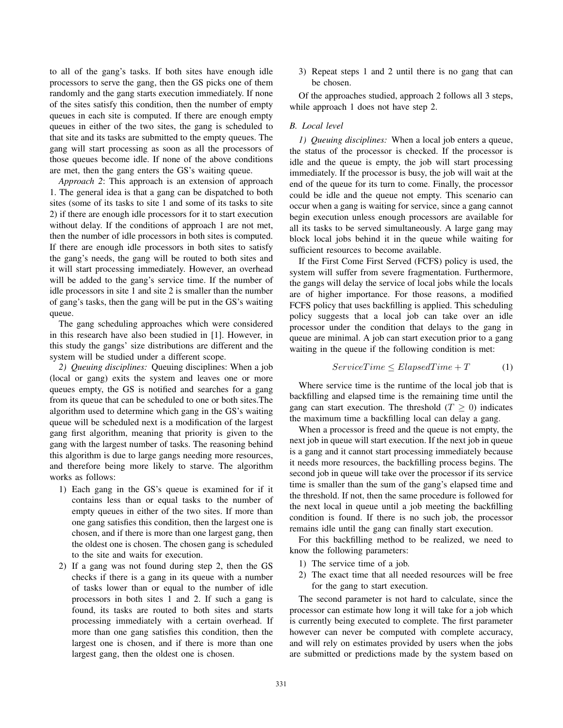to all of the gang's tasks. If both sites have enough idle processors to serve the gang, then the GS picks one of them randomly and the gang starts execution immediately. If none of the sites satisfy this condition, then the number of empty queues in each site is computed. If there are enough empty queues in either of the two sites, the gang is scheduled to that site and its tasks are submitted to the empty queues. The gang will start processing as soon as all the processors of those queues become idle. If none of the above conditions are met, then the gang enters the GS's waiting queue.

*Approach 2*: This approach is an extension of approach 1. The general idea is that a gang can be dispatched to both sites (some of its tasks to site 1 and some of its tasks to site 2) if there are enough idle processors for it to start execution without delay. If the conditions of approach 1 are not met, then the number of idle processors in both sites is computed. If there are enough idle processors in both sites to satisfy the gang's needs, the gang will be routed to both sites and it will start processing immediately. However, an overhead will be added to the gang's service time. If the number of idle processors in site 1 and site 2 is smaller than the number of gang's tasks, then the gang will be put in the GS's waiting queue.

The gang scheduling approaches which were considered in this research have also been studied in [1]. However, in this study the gangs' size distributions are different and the system will be studied under a different scope.

*2) Queuing disciplines:* Queuing disciplines: When a job (local or gang) exits the system and leaves one or more queues empty, the GS is notified and searches for a gang from its queue that can be scheduled to one or both sites.The algorithm used to determine which gang in the GS's waiting queue will be scheduled next is a modification of the largest gang first algorithm, meaning that priority is given to the gang with the largest number of tasks. The reasoning behind this algorithm is due to large gangs needing more resources, and therefore being more likely to starve. The algorithm works as follows:

- 1) Each gang in the GS's queue is examined for if it contains less than or equal tasks to the number of empty queues in either of the two sites. If more than one gang satisfies this condition, then the largest one is chosen, and if there is more than one largest gang, then the oldest one is chosen. The chosen gang is scheduled to the site and waits for execution.
- 2) If a gang was not found during step 2, then the GS checks if there is a gang in its queue with a number of tasks lower than or equal to the number of idle processors in both sites 1 and 2. If such a gang is found, its tasks are routed to both sites and starts processing immediately with a certain overhead. If more than one gang satisfies this condition, then the largest one is chosen, and if there is more than one largest gang, then the oldest one is chosen.

3) Repeat steps 1 and 2 until there is no gang that can be chosen.

Of the approaches studied, approach 2 follows all 3 steps, while approach 1 does not have step 2.

# *B. Local level*

*1) Queuing disciplines:* When a local job enters a queue, the status of the processor is checked. If the processor is idle and the queue is empty, the job will start processing immediately. If the processor is busy, the job will wait at the end of the queue for its turn to come. Finally, the processor could be idle and the queue not empty. This scenario can occur when a gang is waiting for service, since a gang cannot begin execution unless enough processors are available for all its tasks to be served simultaneously. A large gang may block local jobs behind it in the queue while waiting for sufficient resources to become available.

If the First Come First Served (FCFS) policy is used, the system will suffer from severe fragmentation. Furthermore, the gangs will delay the service of local jobs while the locals are of higher importance. For those reasons, a modified FCFS policy that uses backfilling is applied. This scheduling policy suggests that a local job can take over an idle processor under the condition that delays to the gang in queue are minimal. A job can start execution prior to a gang waiting in the queue if the following condition is met:

$$
ServiceTime \le ElangedTime + T \tag{1}
$$

Where service time is the runtime of the local job that is backfilling and elapsed time is the remaining time until the gang can start execution. The threshold ( $T \geq 0$ ) indicates the maximum time a backfilling local can delay a gang.

When a processor is freed and the queue is not empty, the next job in queue will start execution. If the next job in queue is a gang and it cannot start processing immediately because it needs more resources, the backfilling process begins. The second job in queue will take over the processor if its service time is smaller than the sum of the gang's elapsed time and the threshold. If not, then the same procedure is followed for the next local in queue until a job meeting the backfilling condition is found. If there is no such job, the processor remains idle until the gang can finally start execution.

For this backfilling method to be realized, we need to know the following parameters:

- 1) The service time of a job.
- 2) The exact time that all needed resources will be free for the gang to start execution.

The second parameter is not hard to calculate, since the processor can estimate how long it will take for a job which is currently being executed to complete. The first parameter however can never be computed with complete accuracy, and will rely on estimates provided by users when the jobs are submitted or predictions made by the system based on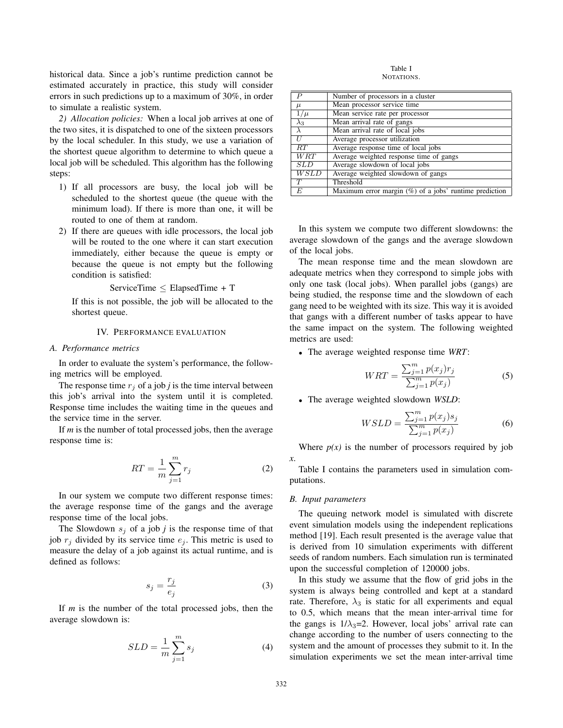historical data. Since a job's runtime prediction cannot be estimated accurately in practice, this study will consider errors in such predictions up to a maximum of 30%, in order to simulate a realistic system.

*2) Allocation policies:* When a local job arrives at one of the two sites, it is dispatched to one of the sixteen processors by the local scheduler. In this study, we use a variation of the shortest queue algorithm to determine to which queue a local job will be scheduled. This algorithm has the following steps:

- 1) If all processors are busy, the local job will be scheduled to the shortest queue (the queue with the minimum load). If there is more than one, it will be routed to one of them at random.
- 2) If there are queues with idle processors, the local job will be routed to the one where it can start execution immediately, either because the queue is empty or because the queue is not empty but the following condition is satisfied:

ServiceTime  $\leq$  ElapsedTime + T

If this is not possible, the job will be allocated to the shortest queue.

## IV. PERFORMANCE EVALUATION

## *A. Performance metrics*

In order to evaluate the system's performance, the following metrics will be employed.

The response time  $r_i$  of a job *j* is the time interval between this job's arrival into the system until it is completed. Response time includes the waiting time in the queues and the service time in the server.

If *m* is the number of total processed jobs, then the average response time is:

$$
RT = \frac{1}{m} \sum_{j=1}^{m} r_j \tag{2}
$$

In our system we compute two different response times: the average response time of the gangs and the average response time of the local jobs.

The Slowdown  $s_j$  of a job *j* is the response time of that job  $r_j$  divided by its service time  $e_j$ . This metric is used to measure the delay of a job against its actual runtime, and is defined as follows:

$$
s_j = \frac{r_j}{e_j} \tag{3}
$$

If *m* is the number of the total processed jobs, then the average slowdown is:

$$
SLD = \frac{1}{m} \sum_{j=1}^{m} s_j
$$
 (4)

Table I NOTATIONS.

| $\overline{P}$ | Number of processors in a cluster                         |
|----------------|-----------------------------------------------------------|
| $\mu$          | Mean processor service time                               |
| $1/\mu$        | Mean service rate per processor                           |
| $\lambda_3$    | Mean arrival rate of gangs                                |
| $\lambda$      | Mean arrival rate of local jobs                           |
| U              | Average processor utilization                             |
| RT             | Average response time of local jobs                       |
| WRT            | Average weighted response time of gangs                   |
| SLD            | Average slowdown of local jobs                            |
| <b>WSLD</b>    | Average weighted slowdown of gangs                        |
| T              | Threshold                                                 |
| E              | Maximum error margin $(\%)$ of a jobs' runtime prediction |

In this system we compute two different slowdowns: the average slowdown of the gangs and the average slowdown of the local jobs.

The mean response time and the mean slowdown are adequate metrics when they correspond to simple jobs with only one task (local jobs). When parallel jobs (gangs) are being studied, the response time and the slowdown of each gang need to be weighted with its size. This way it is avoided that gangs with a different number of tasks appear to have the same impact on the system. The following weighted metrics are used:

*•* The average weighted response time *WRT*:

$$
WRT = \frac{\sum_{j=1}^{m} p(x_j)r_j}{\sum_{j=1}^{m} p(x_j)}
$$
(5)

*•* The average weighted slowdown *WSLD*:

$$
WSLD = \frac{\sum_{j=1}^{m} p(x_j) s_j}{\sum_{j=1}^{m} p(x_j)}
$$
(6)

Where  $p(x)$  is the number of processors required by job *x*.

Table I contains the parameters used in simulation computations.

#### *B. Input parameters*

The queuing network model is simulated with discrete event simulation models using the independent replications method [19]. Each result presented is the average value that is derived from 10 simulation experiments with different seeds of random numbers. Each simulation run is terminated upon the successful completion of 120000 jobs.

In this study we assume that the flow of grid jobs in the system is always being controlled and kept at a standard rate. Therefore,  $\lambda_3$  is static for all experiments and equal to 0.5, which means that the mean inter-arrival time for the gangs is  $1/\lambda_3=2$ . However, local jobs' arrival rate can change according to the number of users connecting to the system and the amount of processes they submit to it. In the simulation experiments we set the mean inter-arrival time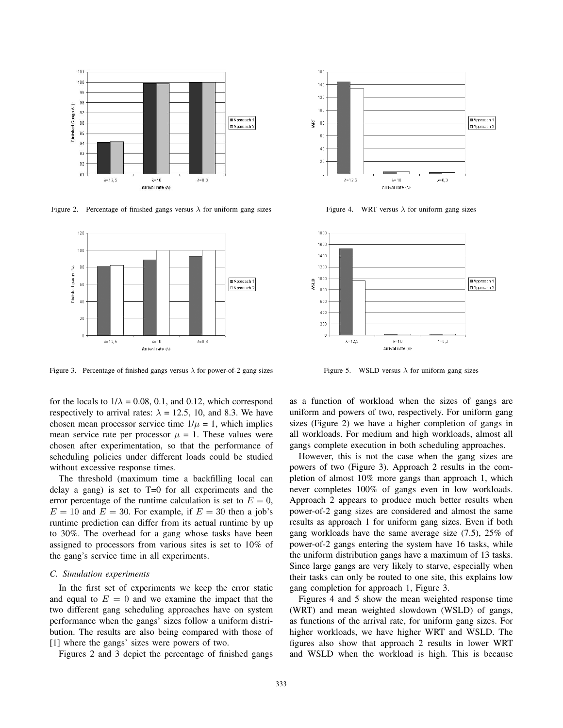

Figure 2. Percentage of finished gangs versus  $\lambda$  for uniform gang sizes



Figure 3. Percentage of finished gangs versus  $\lambda$  for power-of-2 gang sizes

for the locals to  $1/\lambda = 0.08, 0.1$ , and 0.12, which correspond respectively to arrival rates:  $\lambda = 12.5$ , 10, and 8.3. We have chosen mean processor service time  $1/\mu = 1$ , which implies mean service rate per processor  $\mu = 1$ . These values were chosen after experimentation, so that the performance of scheduling policies under different loads could be studied without excessive response times.

The threshold (maximum time a backfilling local can delay a gang) is set to  $T=0$  for all experiments and the error percentage of the runtime calculation is set to  $E = 0$ ,  $E = 10$  and  $E = 30$ . For example, if  $E = 30$  then a job's runtime prediction can differ from its actual runtime by up to 30%. The overhead for a gang whose tasks have been assigned to processors from various sites is set to 10% of the gang's service time in all experiments.

#### *C. Simulation experiments*

In the first set of experiments we keep the error static and equal to  $E = 0$  and we examine the impact that the two different gang scheduling approaches have on system performance when the gangs' sizes follow a uniform distribution. The results are also being compared with those of [1] where the gangs' sizes were powers of two.

Figures 2 and 3 depict the percentage of finished gangs



Figure 4. WRT versus  $\lambda$  for uniform gang sizes



Figure 5. WSLD versus  $\lambda$  for uniform gang sizes

as a function of workload when the sizes of gangs are uniform and powers of two, respectively. For uniform gang sizes (Figure 2) we have a higher completion of gangs in all workloads. For medium and high workloads, almost all gangs complete execution in both scheduling approaches.

However, this is not the case when the gang sizes are powers of two (Figure 3). Approach 2 results in the completion of almost 10% more gangs than approach 1, which never completes 100% of gangs even in low workloads. Approach 2 appears to produce much better results when power-of-2 gang sizes are considered and almost the same results as approach 1 for uniform gang sizes. Even if both gang workloads have the same average size (7.5), 25% of power-of-2 gangs entering the system have 16 tasks, while the uniform distribution gangs have a maximum of 13 tasks. Since large gangs are very likely to starve, especially when their tasks can only be routed to one site, this explains low gang completion for approach 1, Figure 3.

Figures 4 and 5 show the mean weighted response time (WRT) and mean weighted slowdown (WSLD) of gangs, as functions of the arrival rate, for uniform gang sizes. For higher workloads, we have higher WRT and WSLD. The figures also show that approach 2 results in lower WRT and WSLD when the workload is high. This is because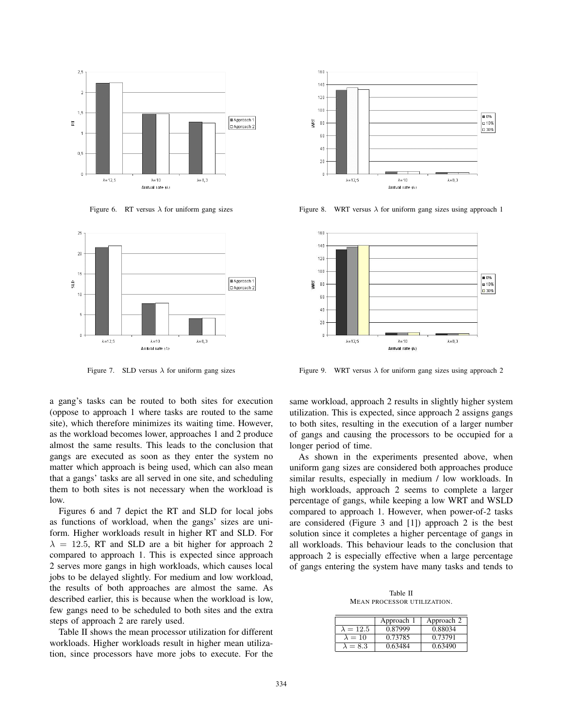

Figure 6. RT versus  $\lambda$  for uniform gang sizes



Figure 7. SLD versus  $\lambda$  for uniform gang sizes

a gang's tasks can be routed to both sites for execution (oppose to approach 1 where tasks are routed to the same site), which therefore minimizes its waiting time. However, as the workload becomes lower, approaches 1 and 2 produce almost the same results. This leads to the conclusion that gangs are executed as soon as they enter the system no matter which approach is being used, which can also mean that a gangs' tasks are all served in one site, and scheduling them to both sites is not necessary when the workload is low.

Figures 6 and 7 depict the RT and SLD for local jobs as functions of workload, when the gangs' sizes are uniform. Higher workloads result in higher RT and SLD. For  $\lambda = 12.5$ , RT and SLD are a bit higher for approach 2 compared to approach 1. This is expected since approach 2 serves more gangs in high workloads, which causes local jobs to be delayed slightly. For medium and low workload, the results of both approaches are almost the same. As described earlier, this is because when the workload is low, few gangs need to be scheduled to both sites and the extra steps of approach 2 are rarely used.

Table II shows the mean processor utilization for different workloads. Higher workloads result in higher mean utilization, since processors have more jobs to execute. For the



Figure 8. WRT versus  $\lambda$  for uniform gang sizes using approach 1



Figure 9. WRT versus  $\lambda$  for uniform gang sizes using approach 2

same workload, approach 2 results in slightly higher system utilization. This is expected, since approach 2 assigns gangs to both sites, resulting in the execution of a larger number of gangs and causing the processors to be occupied for a longer period of time.

As shown in the experiments presented above, when uniform gang sizes are considered both approaches produce similar results, especially in medium / low workloads. In high workloads, approach 2 seems to complete a larger percentage of gangs, while keeping a low WRT and WSLD compared to approach 1. However, when power-of-2 tasks are considered (Figure 3 and [1]) approach 2 is the best solution since it completes a higher percentage of gangs in all workloads. This behaviour leads to the conclusion that approach 2 is especially effective when a large percentage of gangs entering the system have many tasks and tends to

Table II MEAN PROCESSOR UTILIZATION.

|                  | Approach 1 | Approach 2 |
|------------------|------------|------------|
| $\lambda = 12.5$ | 0.87999    | 0.88034    |
| $\lambda = 10$   | 0.73785    | 0.73791    |
| $= 8.3$          | 0.63484    | 0.63490    |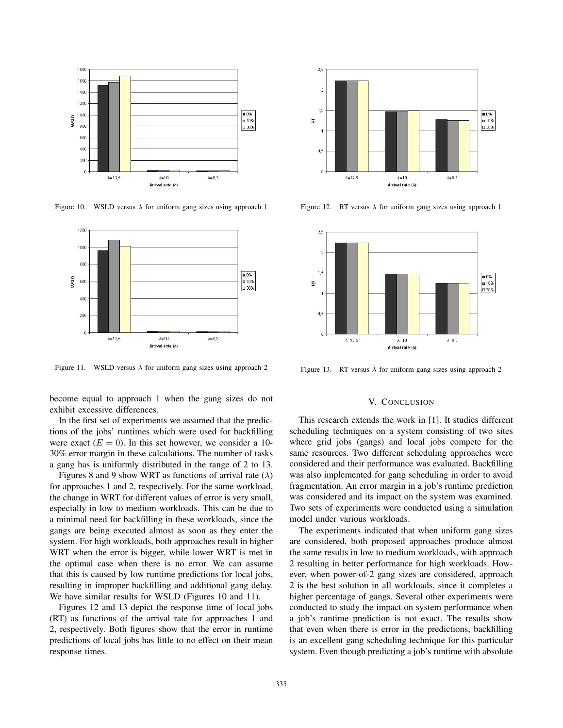

Figure 10. WSLD versus  $\lambda$  for uniform gang sizes using approach 1



Figure 11. WSLD versus  $\lambda$  for uniform gang sizes using approach 2

become equal to approach 1 when the gang sizes do not exhibit excessive differences.

In the first set of experiments we assumed that the predictions of the jobs' runtimes which were used for backfilling were exact  $(E = 0)$ . In this set however, we consider a 10-30% error margin in these calculations. The number of tasks a gang has is uniformly distributed in the range of 2 to 13.

Figures 8 and 9 show WRT as functions of arrival rate ( $\lambda$ ) for approaches 1 and 2, respectively. For the same workload, the change in WRT for different values of error is very small, especially in low to medium workloads. This can be due to a minimal need for backfilling in these workloads, since the gangs are being executed almost as soon as they enter the system. For high workloads, both approaches result in higher WRT when the error is bigger, while lower WRT is met in the optimal case when there is no error. We can assume that this is caused by low runtime predictions for local jobs, resulting in improper backfilling and additional gang delay. We have similar results for WSLD (Figures 10 and 11).

Figures 12 and 13 depict the response time of local jobs (RT) as functions of the arrival rate for approaches 1 and 2, respectively. Both figures show that the error in runtime predictions of local jobs has little to no effect on their mean response times.



Figure 12. RT versus  $\lambda$  for uniform gang sizes using approach 1



Figure 13. RT versus  $\lambda$  for uniform gang sizes using approach 2

#### V. CONCLUSION

This research extends the work in [1]. It studies different scheduling techniques on a system consisting of two sites where grid jobs (gangs) and local jobs compete for the same resources. Two different scheduling approaches were considered and their performance was evaluated. Backfilling was also implemented for gang scheduling in order to avoid fragmentation. An error margin in a job's runtime prediction was considered and its impact on the system was examined. Two sets of experiments were conducted using a simulation model under various workloads.

The experiments indicated that when uniform gang sizes are considered, both proposed approaches produce almost the same results in low to medium workloads, with approach 2 resulting in better performance for high workloads. However, when power-of-2 gang sizes are considered, approach 2 is the best solution in all workloads, since it completes a higher percentage of gangs. Several other experiments were conducted to study the impact on system performance when a job's runtime prediction is not exact. The results show that even when there is error in the predictions, backfilling is an excellent gang scheduling technique for this particular system. Even though predicting a job's runtime with absolute